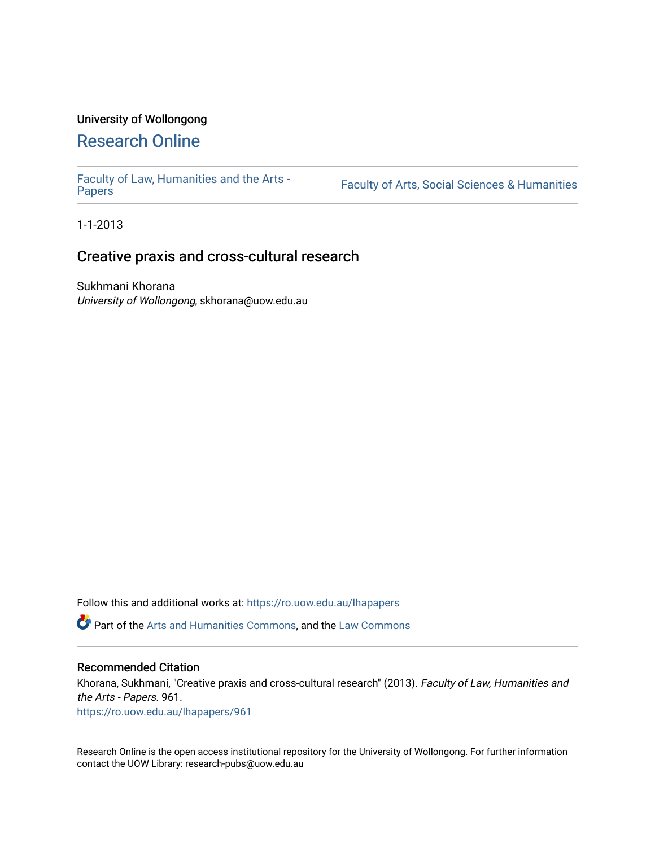### University of Wollongong

## [Research Online](https://ro.uow.edu.au/)

[Faculty of Law, Humanities and the Arts -](https://ro.uow.edu.au/lhapapers)

Faculty of Arts, Social Sciences & Humanities

1-1-2013

## Creative praxis and cross-cultural research

Sukhmani Khorana University of Wollongong, skhorana@uow.edu.au

Follow this and additional works at: [https://ro.uow.edu.au/lhapapers](https://ro.uow.edu.au/lhapapers?utm_source=ro.uow.edu.au%2Flhapapers%2F961&utm_medium=PDF&utm_campaign=PDFCoverPages) 

Part of the [Arts and Humanities Commons,](http://network.bepress.com/hgg/discipline/438?utm_source=ro.uow.edu.au%2Flhapapers%2F961&utm_medium=PDF&utm_campaign=PDFCoverPages) and the [Law Commons](http://network.bepress.com/hgg/discipline/578?utm_source=ro.uow.edu.au%2Flhapapers%2F961&utm_medium=PDF&utm_campaign=PDFCoverPages) 

#### Recommended Citation

Khorana, Sukhmani, "Creative praxis and cross-cultural research" (2013). Faculty of Law, Humanities and the Arts - Papers. 961.

[https://ro.uow.edu.au/lhapapers/961](https://ro.uow.edu.au/lhapapers/961?utm_source=ro.uow.edu.au%2Flhapapers%2F961&utm_medium=PDF&utm_campaign=PDFCoverPages) 

Research Online is the open access institutional repository for the University of Wollongong. For further information contact the UOW Library: research-pubs@uow.edu.au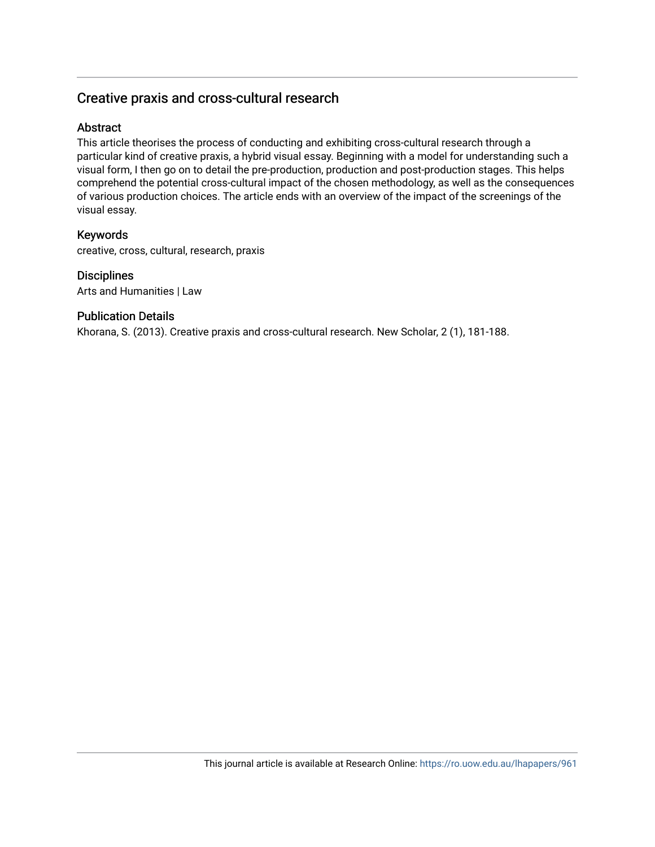### Creative praxis and cross-cultural research

### Abstract

This article theorises the process of conducting and exhibiting cross-cultural research through a particular kind of creative praxis, a hybrid visual essay. Beginning with a model for understanding such a visual form, I then go on to detail the pre-production, production and post-production stages. This helps comprehend the potential cross-cultural impact of the chosen methodology, as well as the consequences of various production choices. The article ends with an overview of the impact of the screenings of the visual essay.

### Keywords

creative, cross, cultural, research, praxis

### **Disciplines**

Arts and Humanities | Law

### Publication Details

Khorana, S. (2013). Creative praxis and cross-cultural research. New Scholar, 2 (1), 181-188.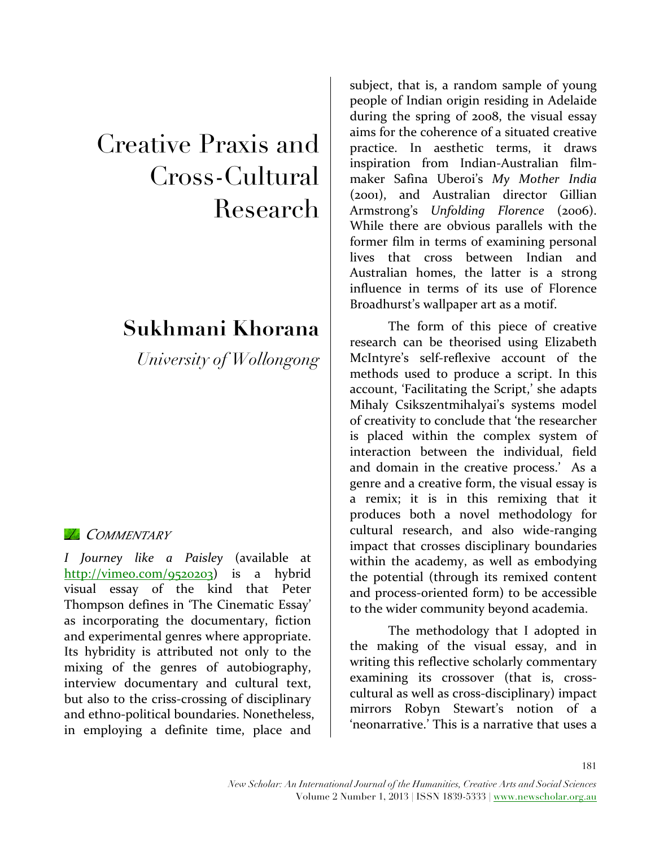# Creative Praxis and Cross-Cultural Research

## **Sukhmani Khorana**

*University of Wollongong*

### *COMMENTARY*

*I Journey like a Paisley* (available at http://vimeo.com/9520203) is a hybrid visual essay of the kind that Peter Thompson defines in 'The Cinematic Essay' as incorporating the documentary, fiction and experimental genres where appropriate. Its hybridity is attributed not only to the mixing of the genres of autobiography, interview documentary and cultural text, but also to the criss-crossing of disciplinary and ethno-political boundaries. Nonetheless, in employing a definite time, place and

subject, that is, a random sample of young people of Indian origin residing in Adelaide during the spring of  $2008$ , the visual essay aims for the coherence of a situated creative practice. In aesthetic terms, it draws inspiration from Indian-Australian filmmaker Safina Uberoi's *My Mother India*  (2001), and Australian director Gillian Armstrong's *Unfolding Florence* (2006). While there are obvious parallels with the former film in terms of examining personal lives that cross between Indian and Australian homes, the latter is a strong influence in terms of its use of Florence Broadhurst's wallpaper art as a motif.

The form of this piece of creative research can be theorised using Elizabeth McIntyre's self-reflexive account of the methods used to produce a script. In this account, 'Facilitating the Script,' she adapts Mihaly Csikszentmihalyai's systems model of creativity to conclude that 'the researcher is placed within the complex system of interaction between the individual, field and domain in the creative process.' As a genre and a creative form, the visual essay is a remix; it is in this remixing that it produces both a novel methodology for cultural research, and also wide-ranging impact that crosses disciplinary boundaries within the academy, as well as embodying the potential (through its remixed content and process-oriented form) to be accessible to the wider community beyond academia.

The methodology that I adopted in the making of the visual essay, and in writing this reflective scholarly commentary examining its crossover (that is, crosscultural as well as cross-disciplinary) impact mirrors Robyn Stewart's notion of a 'neonarrative.' This is a narrative that uses a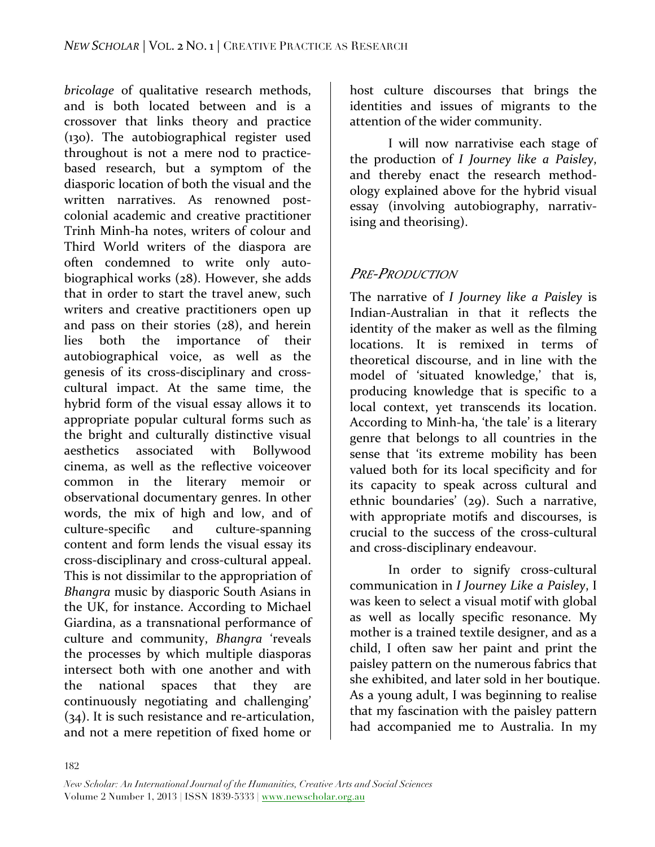*bricolage* of qualitative research methods, and is both located between and is a crossover that links theory and practice (130). The autobiographical register used throughout is not a mere nod to practicebased research, but a symptom of the diasporic location of both the visual and the written narratives. As renowned postcolonial academic and creative practitioner Trinh Minh-ha notes, writers of colour and Third World writers of the diaspora are often condemned to write only autobiographical works (28). However, she adds that in order to start the travel anew, such writers and creative practitioners open up and pass on their stories  $(28)$ , and herein lies both the importance of their autobiographical voice, as well as the genesis of its cross-disciplinary and crosscultural impact. At the same time, the hybrid form of the visual essay allows it to appropriate popular cultural forms such as the bright and culturally distinctive visual aesthetics associated with Bollywood cinema, as well as the reflective voiceover common in the literary memoir or observational documentary genres. In other words, the mix of high and low, and of culture-specific and culture-spanning content and form lends the visual essay its cross-disciplinary and cross-cultural appeal. This is not dissimilar to the appropriation of *Bhangra* music by diasporic South Asians in the UK, for instance. According to Michael Giardina, as a transnational performance of culture and community, *Bhangra* 'reveals the processes by which multiple diasporas intersect both with one another and with the national spaces that they are continuously negotiating and challenging'  $(34)$ . It is such resistance and re-articulation, and not a mere repetition of fixed home or

host culture discourses that brings the identities and issues of migrants to the attention of the wider community.

I will now narrativise each stage of the production of *I* Journey like a Paisley, and thereby enact the research methodology explained above for the hybrid visual essay (involving autobiography, narrativising and theorising).

## *PRE-PRODUCTION*

The narrative of *I Journey like a Paisley* is Indian-Australian in that it reflects the identity of the maker as well as the filming locations. It is remixed in terms of theoretical discourse, and in line with the model of 'situated knowledge,' that is, producing knowledge that is specific to a local context, yet transcends its location. According to Minh-ha, 'the tale' is a literary genre that belongs to all countries in the sense that 'its extreme mobility has been valued both for its local specificity and for its capacity to speak across cultural and ethnic boundaries' (29). Such a narrative, with appropriate motifs and discourses, is crucial to the success of the cross-cultural and cross-disciplinary endeavour.

In order to signify cross-cultural communication in *I Journey Like a Paisley*, I was keen to select a visual motif with global as well as locally specific resonance. My mother is a trained textile designer, and as a child, I often saw her paint and print the paisley pattern on the numerous fabrics that she exhibited, and later sold in her boutique. As a young adult, I was beginning to realise that my fascination with the paisley pattern had accompanied me to Australia. In my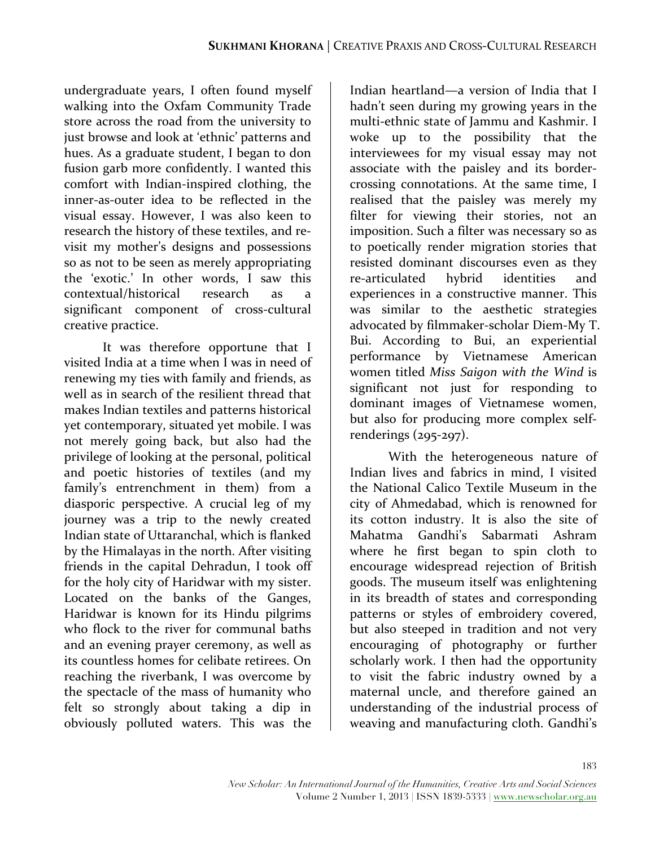undergraduate years, I often found myself walking into the Oxfam Community Trade store across the road from the university to just browse and look at 'ethnic' patterns and hues. As a graduate student, I began to don fusion garb more confidently. I wanted this comfort with Indian-inspired clothing, the inner-as-outer idea to be reflected in the visual essay. However, I was also keen to research the history of these textiles, and revisit my mother's designs and possessions so as not to be seen as merely appropriating the 'exotic.' In other words, I saw this contextual/historical research as a significant component of cross-cultural creative practice.

It was therefore opportune that I visited India at a time when I was in need of renewing my ties with family and friends, as well as in search of the resilient thread that makes Indian textiles and patterns historical yet contemporary, situated yet mobile. I was not merely going back, but also had the privilege of looking at the personal, political and poetic histories of textiles (and my family's entrenchment in them) from a diasporic perspective. A crucial leg of my journey was a trip to the newly created Indian state of Uttaranchal, which is flanked by the Himalayas in the north. After visiting friends in the capital Dehradun, I took off for the holy city of Haridwar with my sister. Located on the banks of the Ganges, Haridwar is known for its Hindu pilgrims who flock to the river for communal baths and an evening prayer ceremony, as well as its countless homes for celibate retirees. On reaching the riverbank, I was overcome by the spectacle of the mass of humanity who felt so strongly about taking a dip in obviously polluted waters. This was the

Indian heartland—a version of India that I hadn't seen during my growing years in the multi-ethnic state of Jammu and Kashmir. I woke up to the possibility that the interviewees for my visual essay may not associate with the paisley and its bordercrossing connotations. At the same time, I realised that the paisley was merely my filter for viewing their stories, not an imposition. Such a filter was necessary so as to poetically render migration stories that resisted dominant discourses even as they re-articulated hybrid identities and experiences in a constructive manner. This was similar to the aesthetic strategies advocated by filmmaker-scholar Diem-My T. Bui. According to Bui, an experiential performance by Vietnamese American women titled Miss Saigon with the Wind is significant not just for responding to dominant images of Vietnamese women, but also for producing more complex selfrenderings (295-297). 

With the heterogeneous nature of Indian lives and fabrics in mind. I visited the National Calico Textile Museum in the city of Ahmedabad, which is renowned for its cotton industry. It is also the site of Mahatma Gandhi's Sabarmati Ashram where he first began to spin cloth to encourage widespread rejection of British goods. The museum itself was enlightening in its breadth of states and corresponding patterns or styles of embroidery covered, but also steeped in tradition and not very encouraging of photography or further scholarly work. I then had the opportunity to visit the fabric industry owned by a maternal uncle, and therefore gained an understanding of the industrial process of weaving and manufacturing cloth. Gandhi's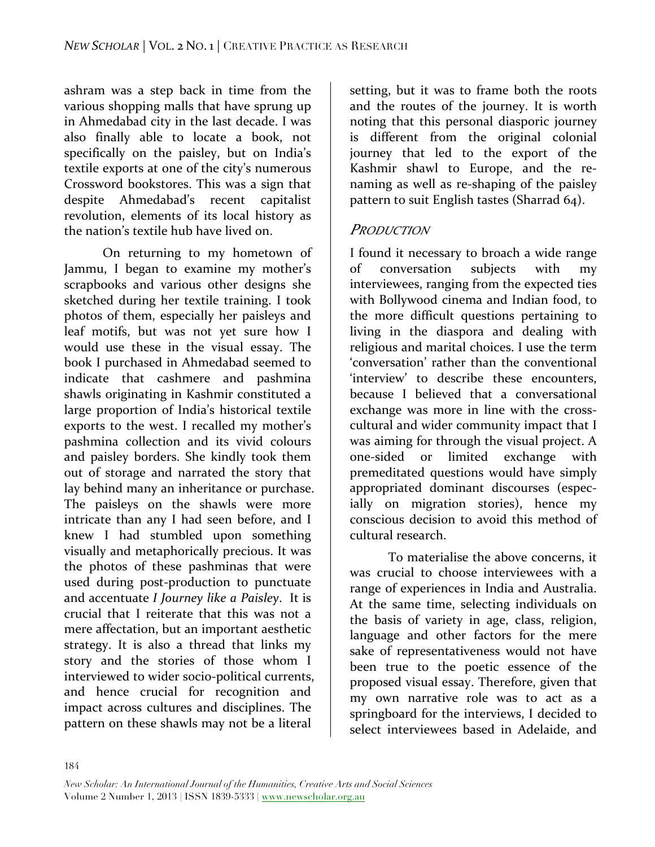ashram was a step back in time from the various shopping malls that have sprung up in Ahmedabad city in the last decade. I was also finally able to locate a book, not specifically on the paisley, but on India's textile exports at one of the city's numerous Crossword bookstores. This was a sign that despite Ahmedabad's recent capitalist revolution, elements of its local history as the nation's textile hub have lived on.

On returning to my hometown of Jammu, I began to examine my mother's scrapbooks and various other designs she sketched during her textile training. I took photos of them, especially her paisleys and leaf motifs, but was not yet sure how I would use these in the visual essay. The book I purchased in Ahmedabad seemed to indicate that cashmere and pashmina shawls originating in Kashmir constituted a large proportion of India's historical textile exports to the west. I recalled my mother's pashmina collection and its vivid colours and paisley borders. She kindly took them out of storage and narrated the story that lay behind many an inheritance or purchase. The paisleys on the shawls were more intricate than any I had seen before, and I knew I had stumbled upon something visually and metaphorically precious. It was the photos of these pashminas that were used during post-production to punctuate and accentuate *I* Journey like a Paisley. It is crucial that I reiterate that this was not a mere affectation, but an important aesthetic strategy. It is also a thread that links my story and the stories of those whom I interviewed to wider socio-political currents, and hence crucial for recognition and impact across cultures and disciplines. The pattern on these shawls may not be a literal

setting, but it was to frame both the roots and the routes of the journey. It is worth noting that this personal diasporic journey is different from the original colonial journey that led to the export of the Kashmir shawl to Europe, and the renaming as well as re-shaping of the paisley pattern to suit English tastes (Sharrad  $64$ ).

### *PRODUCTION*

I found it necessary to broach a wide range of conversation subjects with my interviewees, ranging from the expected ties with Bollywood cinema and Indian food, to the more difficult questions pertaining to living in the diaspora and dealing with religious and marital choices. I use the term 'conversation' rather than the conventional 'interview' to describe these encounters, because I believed that a conversational exchange was more in line with the crosscultural and wider community impact that I was aiming for through the visual project. A one-sided or limited exchange with premeditated questions would have simply appropriated dominant discourses (especially on migration stories), hence my conscious decision to avoid this method of cultural research. 

To materialise the above concerns, it was crucial to choose interviewees with a range of experiences in India and Australia. At the same time, selecting individuals on the basis of variety in age, class, religion, language and other factors for the mere sake of representativeness would not have been true to the poetic essence of the proposed visual essay. Therefore, given that my own narrative role was to act as a springboard for the interviews, I decided to select interviewees based in Adelaide, and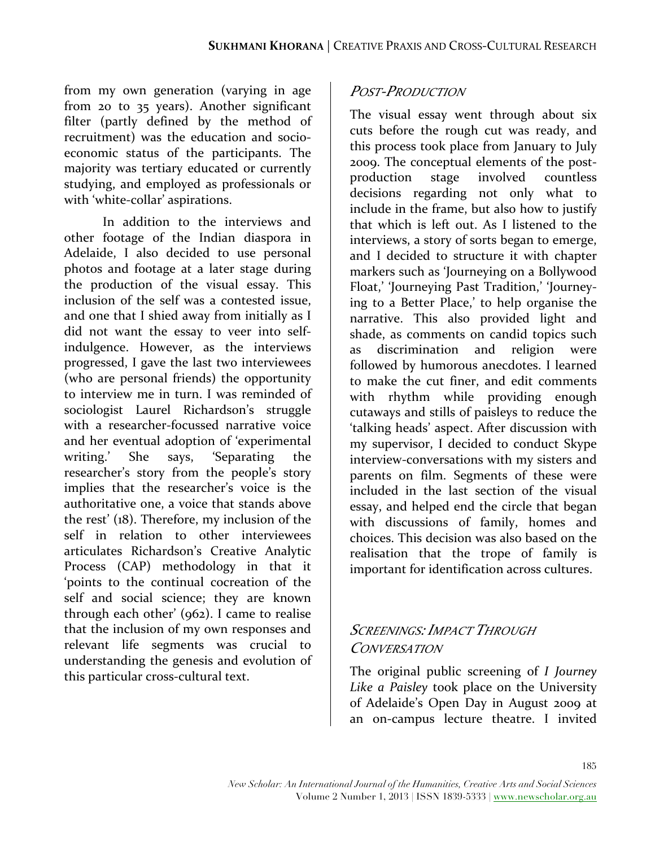from my own generation (varying in age from 20 to 35 years). Another significant filter (partly defined by the method of recruitment) was the education and socioeconomic status of the participants. The majority was tertiary educated or currently studying, and employed as professionals or with 'white-collar' aspirations.

In addition to the interviews and other footage of the Indian diaspora in Adelaide, I also decided to use personal photos and footage at a later stage during the production of the visual essay. This inclusion of the self was a contested issue, and one that I shied away from initially as I did not want the essay to veer into selfindulgence. However, as the interviews progressed, I gave the last two interviewees (who are personal friends) the opportunity to interview me in turn. I was reminded of sociologist Laurel Richardson's struggle with a researcher-focussed narrative voice and her eventual adoption of 'experimental writing.' She says, 'Separating the researcher's story from the people's story implies that the researcher's voice is the authoritative one, a voice that stands above the rest'  $(18)$ . Therefore, my inclusion of the self in relation to other interviewees articulates Richardson's Creative Analytic Process (CAP) methodology in that it 'points to the continual cocreation of the self and social science; they are known through each other'  $(962)$ . I came to realise that the inclusion of my own responses and relevant life segments was crucial to understanding the genesis and evolution of this particular cross-cultural text.

### *POST-PRODUCTION*

The visual essay went through about six cuts before the rough cut was ready, and this process took place from January to July 2009. The conceptual elements of the postproduction stage involved countless decisions regarding not only what to include in the frame, but also how to justify that which is left out. As I listened to the interviews, a story of sorts began to emerge, and I decided to structure it with chapter markers such as 'Journeying on a Bollywood Float,' 'Journeying Past Tradition,' 'Journeying to a Better Place,' to help organise the narrative. This also provided light and shade, as comments on candid topics such as discrimination and religion were followed by humorous anecdotes. I learned to make the cut finer, and edit comments with rhythm while providing enough cutaways and stills of paisleys to reduce the 'talking heads' aspect. After discussion with my supervisor, I decided to conduct Skype interview-conversations with my sisters and parents on film. Segments of these were included in the last section of the visual essay, and helped end the circle that began with discussions of family, homes and choices. This decision was also based on the realisation that the trope of family is important for identification across cultures.

### *SCREENINGS: IMPACT THROUGH CONVERSATION*

The original public screening of *I Journey* Like a Paisley took place on the University of Adelaide's Open Day in August 2009 at an on-campus lecture theatre. I invited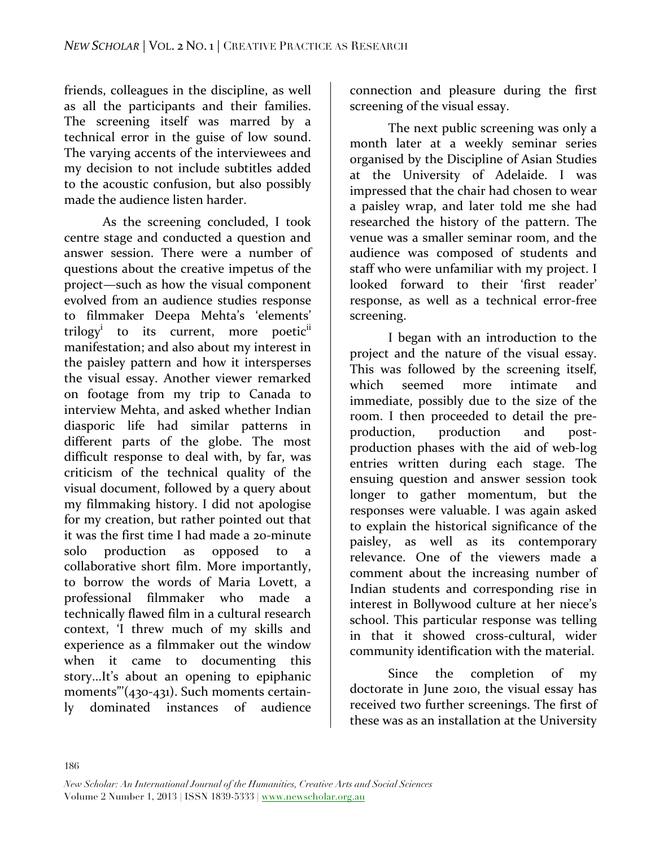friends, colleagues in the discipline, as well as all the participants and their families. The screening itself was marred by a technical error in the guise of low sound. The varying accents of the interviewees and my decision to not include subtitles added to the acoustic confusion, but also possibly made the audience listen harder.

As the screening concluded, I took centre stage and conducted a question and answer session. There were a number of questions about the creative impetus of the project—such as how the visual component evolved from an audience studies response to filmmaker Deepa Mehta's 'elements' trilogy<sup>i</sup> to its current, more poetic<sup>ii</sup> manifestation; and also about my interest in the paisley pattern and how it intersperses the visual essay. Another viewer remarked on footage from my trip to Canada to interview Mehta, and asked whether Indian diasporic life had similar patterns in different parts of the globe. The most difficult response to deal with, by far, was criticism of the technical quality of the visual document, followed by a query about my filmmaking history. I did not apologise for my creation, but rather pointed out that it was the first time I had made a 20-minute solo production as opposed to a collaborative short film. More importantly, to borrow the words of Maria Lovett, a professional filmmaker who made a technically flawed film in a cultural research context, 'I threw much of my skills and experience as a filmmaker out the window when it came to documenting this story...It's about an opening to epiphanic moments"'( $430-431$ ). Such moments certainly dominated instances of audience 

connection and pleasure during the first screening of the visual essay.

The next public screening was only a month later at a weekly seminar series organised by the Discipline of Asian Studies at the University of Adelaide. I was impressed that the chair had chosen to wear a paisley wrap, and later told me she had researched the history of the pattern. The venue was a smaller seminar room, and the audience was composed of students and staff who were unfamiliar with my project. I looked forward to their 'first reader' response, as well as a technical error-free screening. 

I began with an introduction to the project and the nature of the visual essay. This was followed by the screening itself, which seemed more intimate and immediate, possibly due to the size of the room. I then proceeded to detail the preproduction, production and postproduction phases with the aid of web-log entries written during each stage. The ensuing question and answer session took longer to gather momentum, but the responses were valuable. I was again asked to explain the historical significance of the paisley, as well as its contemporary relevance. One of the viewers made a comment about the increasing number of Indian students and corresponding rise in interest in Bollywood culture at her niece's school. This particular response was telling in that it showed cross-cultural, wider community identification with the material.

Since the completion of my doctorate in June 2010, the visual essay has received two further screenings. The first of these was as an installation at the University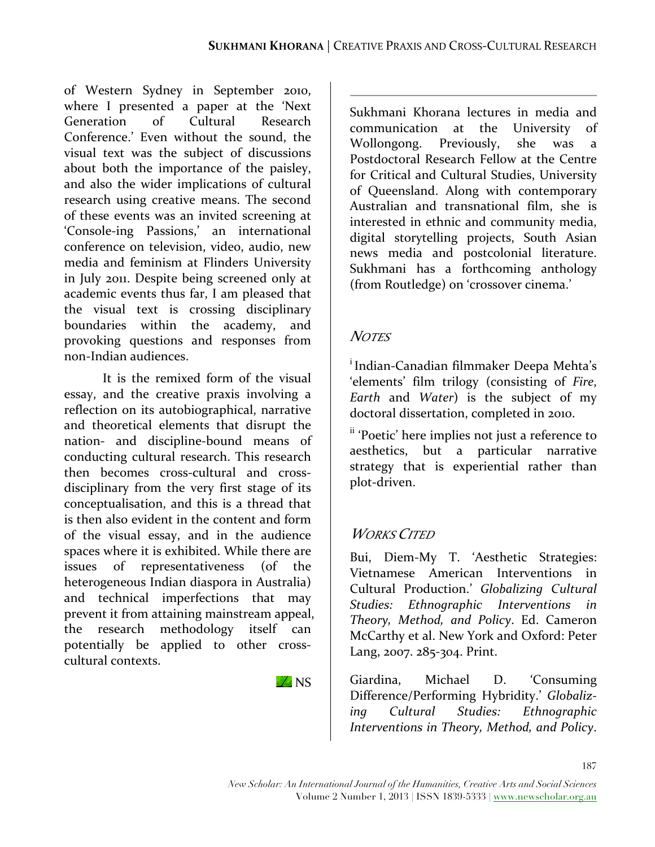of Western Sydney in September 2010, where I presented a paper at the 'Next Generation of Cultural Research Conference.' Even without the sound, the visual text was the subject of discussions about both the importance of the paisley, and also the wider implications of cultural research using creative means. The second of these events was an invited screening at 'Console-ing Passions,' an international conference on television, video, audio, new media and feminism at Flinders University in July 2011. Despite being screened only at academic events thus far, I am pleased that the visual text is crossing disciplinary boundaries within the academy, and provoking questions and responses from non-Indian audiences.

It is the remixed form of the visual essay, and the creative praxis involving a reflection on its autobiographical, narrative and theoretical elements that disrupt the nation- and discipline-bound means of conducting cultural research. This research then becomes cross-cultural and crossdisciplinary from the very first stage of its conceptualisation, and this is a thread that is then also evident in the content and form of the visual essay, and in the audience spaces where it is exhibited. While there are issues of representativeness (of the heterogeneous Indian diaspora in Australia) and technical imperfections that may prevent it from attaining mainstream appeal, the research methodology itself can potentially be applied to other crosscultural contexts.

 $\n **NS**\n$ 

Sukhmani Khorana lectures in media and communication at the University of Wollongong. Previously, she was a Postdoctoral Research Fellow at the Centre for Critical and Cultural Studies, University of Queensland. Along with contemporary Australian and transnational film, she is interested in ethnic and community media, digital storytelling projects, South Asian news media and postcolonial literature. Sukhmani has a forthcoming anthology (from Routledge) on 'crossover cinema.'

### *NOTES*

<sup>i</sup> Indian-Canadian filmmaker Deepa Mehta's 'elements' film trilogy (consisting of *Fire*, *Earth* and *Water*) is the subject of my doctoral dissertation, completed in 2010.

<sup>ii</sup> 'Poetic' here implies not just a reference to aesthetics, but a particular narrative strategy that is experiential rather than plot-driven.

## *WORKS CITED*

Bui, Diem-My T. 'Aesthetic Strategies: Vietnamese American Interventions in Cultural Production.' *Globalizing Cultural Studies: Ethnographic Interventions in Theory, Method, and Policy*. Ed. Cameron McCarthy et al. New York and Oxford: Peter Lang, 2007. 285-304. Print.

Giardina, Michael D. 'Consuming Difference/Performing Hybridity.' *Globalizing Cultural Studies: Ethnographic*  Interventions in Theory, Method, and Policy.

187